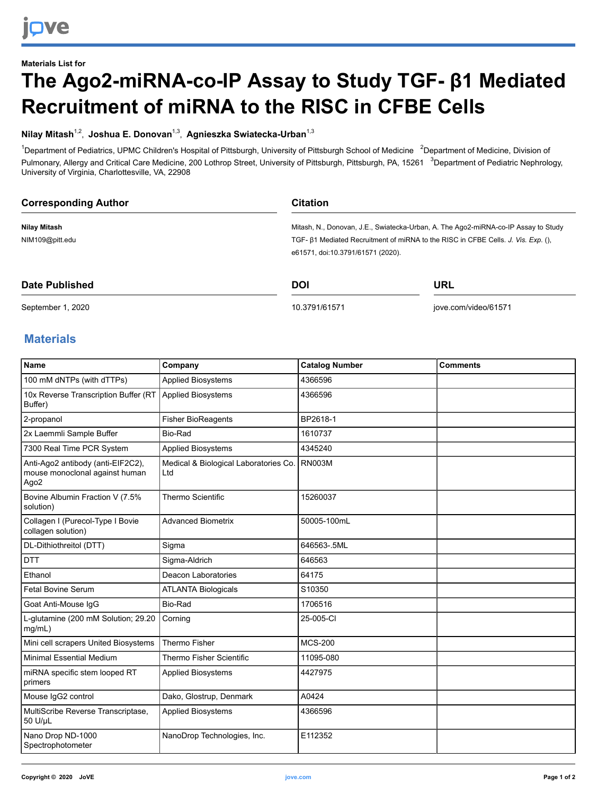## **Materials List for The Ago2-miRNA-co-IP Assay to Study TGF- β1 Mediated Recruitment of miRNA to the RISC in CFBE Cells**

## **Nilay Mitash**1,2 , **Joshua E. Donovan**1,3 , **Agnieszka Swiatecka-Urban**1,3

<sup>1</sup>Department of Pediatrics, UPMC Children's Hospital of Pittsburgh, University of Pittsburgh School of Medicine <sup>2</sup>Department of Medicine, Division of Pulmonary, Allergy and Critical Care Medicine, 200 Lothrop Street, University of Pittsburgh, Pittsburgh, PA, 15261 <sup>3</sup>Department of Pediatric Nephrology, University of Virginia, Charlottesville, VA, 22908

| <b>Corresponding Author</b> | <b>Citation</b>                                                                    |  |  |
|-----------------------------|------------------------------------------------------------------------------------|--|--|
| Nilay Mitash                | Mitash, N., Donovan, J.E., Swiatecka-Urban, A. The Ago2-miRNA-co-IP Assay to Study |  |  |
| NIM109@pitt.edu             | TGF- B1 Mediated Recruitment of miRNA to the RISC in CFBE Cells. J. Vis. Exp. (),  |  |  |
|                             | e61571, doi:10.3791/61571 (2020).                                                  |  |  |
| Date Published              | DOI<br>URL                                                                         |  |  |

**Date Published**

September 1, 2020

[10.3791/61571](http://dx.doi.org/10.3791/61571)

[jove.com/video/61571](https://www.jove.com/video/61571)

## **Materials**

| <b>Name</b>                                                                             | Company                                      | <b>Catalog Number</b> | <b>Comments</b> |
|-----------------------------------------------------------------------------------------|----------------------------------------------|-----------------------|-----------------|
| 100 mM dNTPs (with dTTPs)                                                               | <b>Applied Biosystems</b>                    | 4366596               |                 |
| 10x Reverse Transcription Buffer (RT<br>Buffer)                                         | <b>Applied Biosystems</b>                    | 4366596               |                 |
| 2-propanol                                                                              | <b>Fisher BioReagents</b>                    | BP2618-1              |                 |
| 2x Laemmli Sample Buffer                                                                | Bio-Rad                                      | 1610737               |                 |
| 7300 Real Time PCR System                                                               | <b>Applied Biosystems</b>                    | 4345240               |                 |
| Anti-Ago2 antibody (anti-EIF2C2),<br>mouse monoclonal against human<br>Ago <sub>2</sub> | Medical & Biological Laboratories Co.<br>Ltd | <b>RN003M</b>         |                 |
| Bovine Albumin Fraction V (7.5%<br>solution)                                            | <b>Thermo Scientific</b>                     | 15260037              |                 |
| Collagen I (Purecol-Type I Bovie<br>collagen solution)                                  | <b>Advanced Biometrix</b>                    | 50005-100mL           |                 |
| DL-Dithiothreitol (DTT)                                                                 | Sigma                                        | 646563-.5ML           |                 |
| <b>DTT</b>                                                                              | Sigma-Aldrich                                | 646563                |                 |
| Ethanol                                                                                 | Deacon Laboratories                          | 64175                 |                 |
| <b>Fetal Bovine Serum</b>                                                               | <b>ATLANTA Biologicals</b>                   | S10350                |                 |
| Goat Anti-Mouse IgG                                                                     | Bio-Rad                                      | 1706516               |                 |
| L-glutamine (200 mM Solution; 29.20<br>mg/mL)                                           | Corning                                      | 25-005-CI             |                 |
| Mini cell scrapers United Biosystems                                                    | <b>Thermo Fisher</b>                         | <b>MCS-200</b>        |                 |
| <b>Minimal Essential Medium</b>                                                         | Thermo Fisher Scientific                     | 11095-080             |                 |
| miRNA specific stem looped RT<br>primers                                                | <b>Applied Biosystems</b>                    | 4427975               |                 |
| Mouse IgG2 control                                                                      | Dako, Glostrup, Denmark                      | A0424                 |                 |
| MultiScribe Reverse Transcriptase,<br>50 U/µL                                           | <b>Applied Biosystems</b>                    | 4366596               |                 |
| Nano Drop ND-1000<br>Spectrophotometer                                                  | NanoDrop Technologies, Inc.                  | E112352               |                 |